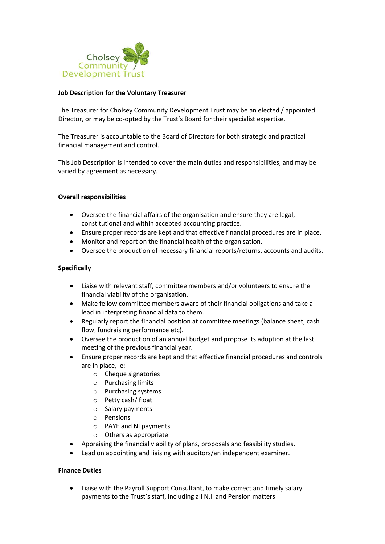

## **Job Description for the Voluntary Treasurer**

The Treasurer for Cholsey Community Development Trust may be an elected / appointed Director, or may be co-opted by the Trust's Board for their specialist expertise.

The Treasurer is accountable to the Board of Directors for both strategic and practical financial management and control.

This Job Description is intended to cover the main duties and responsibilities, and may be varied by agreement as necessary.

### **Overall responsibilities**

- Oversee the financial affairs of the organisation and ensure they are legal, constitutional and within accepted accounting practice.
- Ensure proper records are kept and that effective financial procedures are in place.
- Monitor and report on the financial health of the organisation.
- Oversee the production of necessary financial reports/returns, accounts and audits.

# **Specifically**

- Liaise with relevant staff, committee members and/or volunteers to ensure the financial viability of the organisation.
- Make fellow committee members aware of their financial obligations and take a lead in interpreting financial data to them.
- Regularly report the financial position at committee meetings (balance sheet, cash flow, fundraising performance etc).
- Oversee the production of an annual budget and propose its adoption at the last meeting of the previous financial year.
- Ensure proper records are kept and that effective financial procedures and controls are in place, ie:
	- o Cheque signatories
	- o Purchasing limits
	- o Purchasing systems
	- o Petty cash/ float
	- o Salary payments
	- o Pensions
	- o PAYE and NI payments
	- o Others as appropriate
- Appraising the financial viability of plans, proposals and feasibility studies.
- Lead on appointing and liaising with auditors/an independent examiner.

### **Finance Duties**

• Liaise with the Payroll Support Consultant, to make correct and timely salary payments to the Trust's staff, including all N.I. and Pension matters